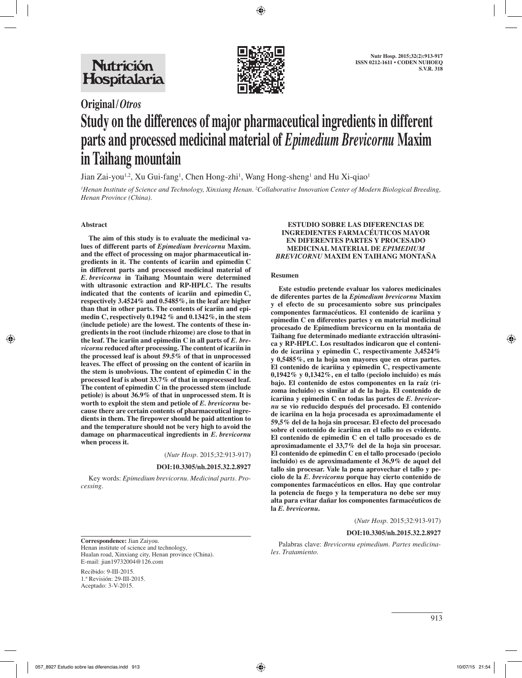

# **Original/***Otros* **Study on the differences of major pharmaceutical ingredients in different parts and processed medicinal material of** *Epimedium Brevicornu* **Maxim in Taihang mountain**

Jian Zai-you<sup>1,2</sup>, Xu Gui-fang<sup>1</sup>, Chen Hong-zhi<sup>1</sup>, Wang Hong-sheng<sup>1</sup> and Hu Xi-qiao<sup>1</sup>

*1 Henan Institute of Science and Technology, Xinxiang Henan. 2 Collaborative Innovation Center of Modern Biological Breeding, Henan Province (China).*

#### **Abstract**

**The aim of this study is to evaluate the medicinal values of different parts of** *Epimedium brevicornu* **Maxim. and the effect of processing on major pharmaceutical ingredients in it. The contents of icariin and epimedin C in different parts and processed medicinal material of**  *E. brevicornu* **in Taihang Mountain were determined with ultrasonic extraction and RP-HPLC. The results indicated that the contents of icariin and epimedin C, respectively 3.4524% and 0.5485%, in the leaf are higher than that in other parts. The contents of icariin and epimedin C, respectively 0.1942 % and 0.1342%, in the stem (include petiole) are the lowest. The contents of these ingredients in the root (include rhizome) are close to that in the leaf. The icariin and epimedin C in all parts of** *E. brevicornu* **reduced after processing. The content of icariin in the processed leaf is about 59.5% of that in unprocessed leaves. The effect of prossing on the content of icariin in the stem is unobvious. The content of epimedin C in the processed leaf is about 33.7% of that in unprocessed leaf. The content of epimedin C in the processed stem (include petiole) is about 36.9% of that in unprocessed stem. It is worth to exploit the stem and petiole of** *E. brevicornu* **because there are certain contents of pharmaceutical ingredients in them. The firepower should be paid attention to and the temperature should not be very high to avoid the damage on pharmaceutical ingredients in** *E. brevicornu*  **when process it.**

(*Nutr Hosp.* 2015;32:913-917)

#### **DOI:10.3305/nh.2015.32.2.8927**

Key words: *Epimedium brevicornu. Medicinal parts. Processing.*

#### **ESTUDIO SOBRE LAS DIFERENCIAS DE INGREDIENTES FARMACÉUTICOS MAYOR EN DIFERENTES PARTES Y PROCESADO MEDICINAL MATERIAL DE** *EPIMEDIUM BREVICORNU* **MAXIM EN TAIHANG MONTAÑA**

#### **Resumen**

**Este estudio pretende evaluar los valores medicinales de diferentes partes de la** *Epimedium brevicornu* **Maxim y el efecto de su procesamiento sobre sus principales componentes farmacéuticos. El contenido de icariina y epimedin C en diferentes partes y en material medicinal procesado de Epimedium brevicornu en la montaña de Taihang fue determinado mediante extracción ultrasónica y RP-HPLC. Los resultados indicaron que el contenido de icariina y epimedin C, respectivamente 3,4524% y 0,5485%, en la hoja son mayores que en otras partes. El contenido de icariina y epimedin C, respectivamente 0,1942% y 0,1342%, en el tallo (peciolo incluido) es más bajo. El contenido de estos componentes en la raíz (rizoma incluido) es similar al de la hoja. El contenido de icariina y epimedin C en todas las partes de** *E. brevicornu* **se vio reducido después del procesado. El contenido de icariina en la hoja procesada es aproximadamente el 59,5% del de la hoja sin procesar. El efecto del procesado sobre el contenido de icariina en el tallo no es evidente. El contenido de epimedin C en el tallo procesado es de aproximadamente el 33,7% del de la hoja sin procesar. El contenido de epimedin C en el tallo procesado (peciolo incluido) es de aproximadamente el 36,9% de aquel del tallo sin procesar. Vale la pena aprovechar el tallo y peciolo de la** *E. brevicornu* **porque hay cierto contenido de componentes farmacéuticos en ellos. Hay que controlar la potencia de fuego y la temperatura no debe ser muy alta para evitar dañar los componentes farmacéuticos de la** *E. brevicornu***.**

(*Nutr Hosp.* 2015;32:913-917)

#### **DOI:10.3305/nh.2015.32.2.8927**

Palabras clave: *Brevicornu epimedium. Partes medicinales. Tratamiento.*

**Correspondence:** Jian Zaiyou. Henan institute of science and technology, Hualan road, Xinxiang city, Henan province (China). E-mail: jian19732004@126.com

Recibido: 9-III-2015. 1.ª Revisión: 29-III-2015. Aceptado: 3-V-2015.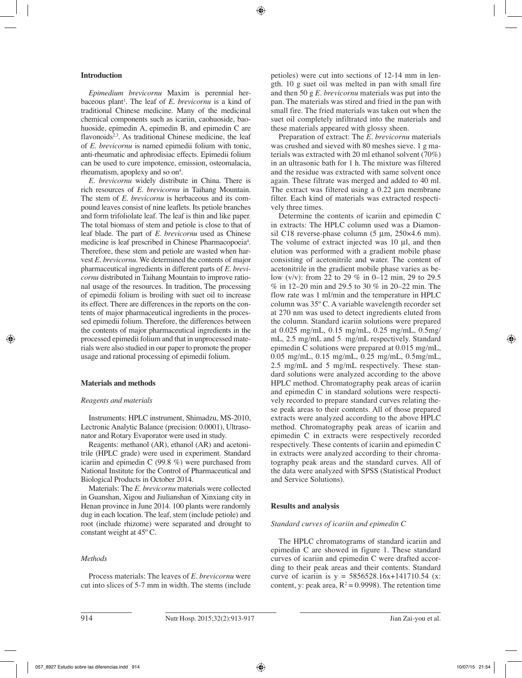# **Introduction**

*Epimedium brevicornu* Maxim is perennial herbaceous plant<sup>1</sup>. The leaf of *E. brevicornu* is a kind of traditional Chinese medicine. Many of the medicinal chemical components such as icariin, caohuoside, baohuoside, epimedin A, epimedin B, and epimedin C are flavonoids<sup>2,3</sup>. As traditional Chinese medicine, the leaf of *E*. *brevicornu* is named epimedii folium with tonic, anti-rheumatic and aphrodisiac effects. Epimedii folium can be used to cure impotence, emission, osteomalacia, rheumatism, apoplexy and so on<sup>4</sup>.

*E*. *brevicornu* widely distribute in China. There is rich resources of *E*. *brevicornu* in Taihang Mountain. The stem of *E*. *brevicornu* is herbaceous and its compound leaves consist of nine leaflets. Its petiole branches and form trifoliolate leaf. The leaf is thin and like paper. The total biomass of stem and petiole is close to that of leaf blade. The part of *E*. *brevicornu* used as Chinese medicine is leaf prescribed in Chinese Pharmacopoeia<sup>4</sup>. Therefore, these stem and petiole are wasted when harvest *E*. *brevicornu*. We determined the contents of major pharmaceutical ingredients in different parts of *E*. *brevicornu* distributed in Taihang Mountain to improve rational usage of the resources. In tradition, The processing of epimedii folium is broiling with suet oil to increase its effect. There are differences in the reports on the contents of major pharmaceutical ingredients in the processed epimedii folium. Therefore, the differences between the contents of major pharmaceutical ingredients in the processed epimedii folium and that in unprocessed materials were also studied in our paper to promote the proper usage and rational processing of epimedii folium.

## **Materials and methods**

## *Reagents and materials*

Instruments: HPLC instrument, Shimadzu, MS-2010, Lectronic Analytic Balance (precision: 0.0001), Ultrasonator and Rotary Evaporator were used in study.

Reagents: methanol (AR), ethanol (AR) and acetonitrile (HPLC grade) were used in experiment. Standard icariin and epimedin C (99.8 %) were purchased from National Institute for the Control of Pharmaceutical and Biological Products in October 2014.

Materials: The *E*. *brevicornu* materials were collected in Guanshan, Xigou and Jiulianshan of Xinxiang city in Henan province in June 2014. 100 plants were randomly dug in each location. The leaf, stem (include petiole) and root (include rhizome) were separated and drought to constant weight at 45º C.

## *Methods*

Process materials: The leaves of *E*. *brevicornu* were cut into slices of 5-7 mm in width. The stems (include petioles) were cut into sections of 12-14 mm in length. 10 g suet oil was melted in pan with small fire and then 50 g *E*. *brevicornu* materials was put into the pan. The materials was stired and fried in the pan with small fire. The fried materials was taken out when the suet oil completely infiltrated into the materials and these materials appeared with glossy sheen.

Preparation of extract: The *E*. *brevicornu* materials was crushed and sieved with 80 meshes sieve. 1 g materials was extracted with 20 ml ethanol solvent (70%) in an ultrasonic bath for 1 h. The mixture was filtered and the residue was extracted with same solvent once again. These filtrate was merged and added to 40 ml. The extract was filtered using a 0.22 µm membrane filter. Each kind of materials was extracted respectively three times.

Determine the contents of icariin and epimedin C in extracts: The HPLC column used was a Diamonsil C18 reverse-phase column (5 µm, 250×4.6 mm). The volume of extract injected was 10 µl, and then elution was performed with a gradient mobile phase consisting of acetonitrile and water. The content of acetonitrile in the gradient mobile phase varies as below (v/v): from 22 to 29 % in 0–12 min, 29 to 29.5 % in 12–20 min and 29.5 to 30 % in 20–22 min. The flow rate was 1 ml/min and the temperature in HPLC column was 35º C. A variable wavelength recorder set at 270 nm was used to detect ingredients eluted from the column. Standard icariin solutions were prepared at 0.025 mg/mL, 0.15 mg/mL, 0.25 mg/mL, 0.5mg/ mL, 2.5 mg/mL and 5 mg/mL respectively. Standard epimedin C solutions were prepared at 0.015 mg/mL, 0.05 mg/mL, 0.15 mg/mL, 0.25 mg/mL, 0.5mg/mL, 2.5 mg/mL and 5 mg/mL respectively. These standard solutions were analyzed according to the above HPLC method. Chromatography peak areas of icariin and epimedin C in standard solutions were respectively recorded to prepare standard curves relating these peak areas to their contents. All of those prepared extracts were analyzed according to the above HPLC method. Chromatography peak areas of icariin and epimedin C in extracts were respectively recorded respectively. These contents of icariin and epimedin C in extracts were analyzed according to their chromatography peak areas and the standard curves. All of the data were analyzed with SPSS (Statistical Product and Service Solutions).

## **Results and analysis**

## *Standard curves of icariin and epimedin C*

The HPLC chromatograms of standard icariin and epimedin C are showed in figure 1. These standard curves of icariin and epimedin C were drafted according to their peak areas and their contents. Standard curve of icariin is  $y = 5856528.16x+141710.54$  (x: content, y: peak area,  $R^2 = 0.9998$ ). The retention time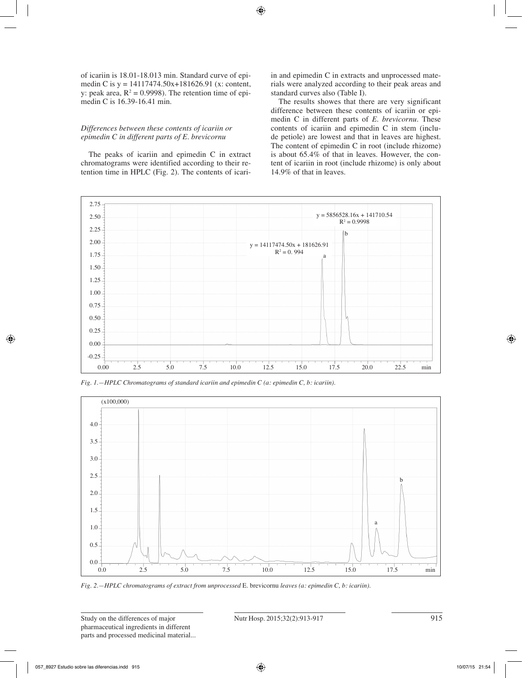of icariin is 18.01-18.013 min. Standard curve of epimedin C is y = 14117474.50x+181626.91 (x: content, y: peak area,  $R^2 = 0.9998$ ). The retention time of epimedin C is 16.39-16.41 min.

# *Differences between these contents of icariin or epimedin C in different parts of E. brevicornu*

The peaks of icariin and epimedin C in extract chromatograms were identified according to their retention time in HPLC (Fig. 2). The contents of icariin and epimedin C in extracts and unprocessed materials were analyzed according to their peak areas and standard curves also (Table I).

The results showes that there are very significant difference between these contents of icariin or epimedin C in different parts of *E*. *brevicornu*. These contents of icariin and epimedin C in stem (include petiole) are lowest and that in leaves are highest. The content of epimedin C in root (include rhizome) is about 65.4% of that in leaves. However, the content of icariin in root (include rhizome) is only about 14.9% of that in leaves.



*Fig. 1.—HPLC Chromatograms of standard icariin and epimedin C (a: epimedin C, b: icariin).*



*Fig. 2.—HPLC chromatograms of extract from unprocessed* E. brevicornu *leaves (a: epimedin C, b: icariin).*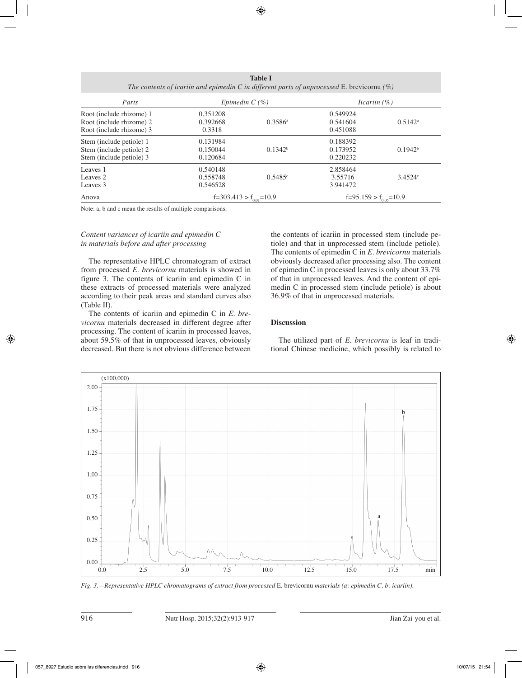| 14VIV 1<br>The contents of icariin and epimedin C in different parts of unprocessed E. brevicornu $(\%)$ |                                  |                  |                                  |                  |  |  |  |  |  |
|----------------------------------------------------------------------------------------------------------|----------------------------------|------------------|----------------------------------|------------------|--|--|--|--|--|
| Parts<br>Root (include rhizome) 1<br>Root (include rhizome) 2<br>Root (include rhizome) 3                | Epimedin $C(\%)$                 |                  | <i>licariin</i> $(\%)$           |                  |  |  |  |  |  |
|                                                                                                          | 0.351208<br>0.392668<br>0.3318   | $0.3586^{\circ}$ | 0.549924<br>0.541604<br>0.451088 | $0.5142^{\rm a}$ |  |  |  |  |  |
| Stem (include petiole) 1<br>Stem (include petiole) 2<br>Stem (include petiole) 3                         | 0.131984<br>0.150044<br>0.120684 | $0.1342^b$       | 0.188392<br>0.173952<br>0.220232 | $0.1942^b$       |  |  |  |  |  |
| Leaves 1<br>Leaves 2<br>Leaves 3                                                                         | 0.540148<br>0.558748<br>0.546528 | 0.5485c          | 2.858464<br>3.55716<br>3.941472  | 3.4524c          |  |  |  |  |  |
| Anova                                                                                                    | $f=303.413 > f_{0.01} = 10.9$    |                  | $f=95.159 > f_{0.05} = 10.9$     |                  |  |  |  |  |  |

**Table I**

Note: a, b and c mean the results of multiple comparisons.

# *Content variances of icariin and epimedin C in materials before and after processing*

The representative HPLC chromatogram of extract from processed *E*. *brevicornu* materials is showed in figure 3. The contents of icariin and epimedin C in these extracts of processed materials were analyzed according to their peak areas and standard curves also (Table II).

The contents of icariin and epimedin C in *E*. *brevicornu* materials decreased in different degree after processing. The content of icariin in processed leaves, about 59.5% of that in unprocessed leaves, obviously decreased. But there is not obvious difference between the contents of icariin in processed stem (include petiole) and that in unprocessed stem (include petiole). The contents of epimedin C in *E*. *brevicornu* materials obviously decreased after processing also. The content of epimedin C in processed leaves is only about 33.7% of that in unprocessed leaves. And the content of epimedin C in processed stem (include petiole) is about 36.9% of that in unprocessed materials.

# **Discussion**

The utilized part of *E*. *brevicornu* is leaf in traditional Chinese medicine, which possibly is related to



*Fig. 3.—Representative HPLC chromatograms of extract from processed* E. brevicornu *materials (a: epimedin C, b: icariin).*